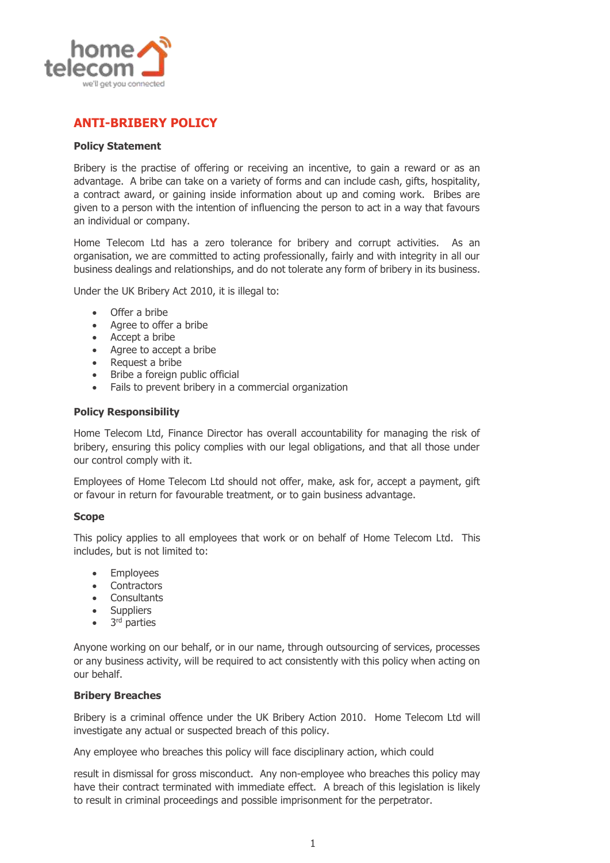

# **ANTI-BRIBERY POLICY**

## **Policy Statement**

Bribery is the practise of offering or receiving an incentive, to gain a reward or as an advantage. A bribe can take on a variety of forms and can include cash, gifts, hospitality, a contract award, or gaining inside information about up and coming work. Bribes are given to a person with the intention of influencing the person to act in a way that favours an individual or company.

Home Telecom Ltd has a zero tolerance for bribery and corrupt activities. As an organisation, we are committed to acting professionally, fairly and with integrity in all our business dealings and relationships, and do not tolerate any form of bribery in its business.

Under the UK Bribery Act 2010, it is illegal to:

- Offer a bribe
- Agree to offer a bribe
- Accept a bribe
- Agree to accept a bribe
- Request a bribe
- Bribe a foreign public official
- Fails to prevent bribery in a commercial organization

#### **Policy Responsibility**

Home Telecom Ltd, Finance Director has overall accountability for managing the risk of bribery, ensuring this policy complies with our legal obligations, and that all those under our control comply with it.

Employees of Home Telecom Ltd should not offer, make, ask for, accept a payment, gift or favour in return for favourable treatment, or to gain business advantage.

#### **Scope**

This policy applies to all employees that work or on behalf of Home Telecom Ltd. This includes, but is not limited to:

- Employees
- Contractors
- **Consultants**
- Suppliers
- $\bullet$ 3<sup>rd</sup> parties

Anyone working on our behalf, or in our name, through outsourcing of services, processes or any business activity, will be required to act consistently with this policy when acting on our behalf.

## **Bribery Breaches**

Bribery is a criminal offence under the UK Bribery Action 2010. Home Telecom Ltd will investigate any actual or suspected breach of this policy.

Any employee who breaches this policy will face disciplinary action, which could

result in dismissal for gross misconduct. Any non-employee who breaches this policy may have their contract terminated with immediate effect. A breach of this legislation is likely to result in criminal proceedings and possible imprisonment for the perpetrator.